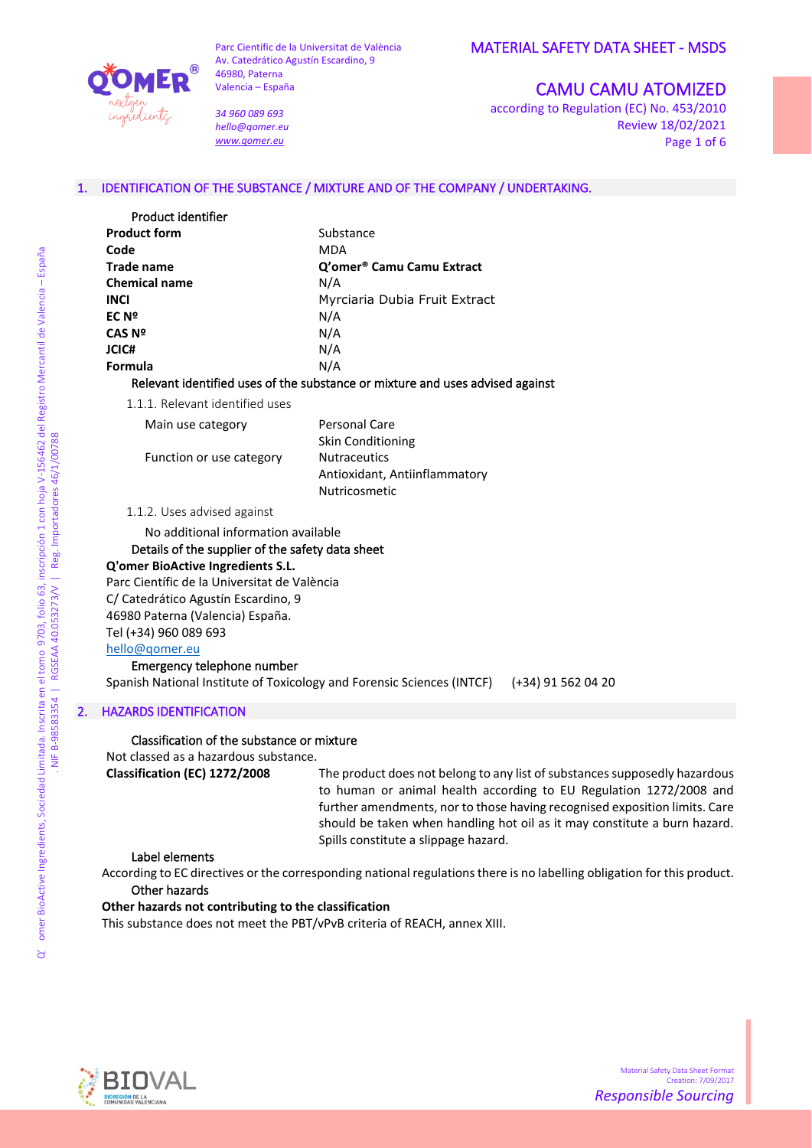

*34 960 089 693 hello@qomer.eu [www.qomer.eu](http://www.qomer.eu/)*

## MATERIAL SAFETY DATA SHEET - MSDS

# CAMU CAMU ATOMIZED

according to Regulation (EC) No. 453/2010 Review 18/02/2021 Page 1 of 6

## 1. IDENTIFICATION OF THE SUBSTANCE / MIXTURE AND OF THE COMPANY / UNDERTAKING.

| Product identifier   |                                                                                                                |
|----------------------|----------------------------------------------------------------------------------------------------------------|
| <b>Product form</b>  | Substance                                                                                                      |
| Code                 | <b>MDA</b>                                                                                                     |
| Trade name           | Q'omer <sup>®</sup> Camu Camu Extract                                                                          |
| <b>Chemical name</b> | N/A                                                                                                            |
| <b>INCI</b>          | Myrciaria Dubia Fruit Extract                                                                                  |
| EC Nº                | N/A                                                                                                            |
| CAS Nº               | N/A                                                                                                            |
| JCIC#                | N/A                                                                                                            |
| <b>Formula</b>       | N/A                                                                                                            |
|                      | n al an constituent film al model diffusion de la constance de la constitución de la constitución de la consti |

Relevant identified uses of the substance or mixture and uses advised against

1.1.1. Relevant identified uses

Main use category **Personal Care** 

Function or use category Nutraceutics

Skin Conditioning Antioxidant, Antiinflammatory Nutricosmetic

#### 1.1.2. Uses advised against

No additional information available

#### Details of the supplier of the safety data sheet

#### **Q'omer BioActive Ingredients S.L.**

Parc Científic de la Universitat de València C/ Catedrático Agustín Escardino, 9 46980 Paterna (Valencia) España. Tel (+34) 960 089 693 [hello@qomer.eu](mailto:hello@qomer.eu) Emergency telephone number

Spanish National Institute of Toxicology and Forensic Sciences (INTCF) (+34) 91 562 04 20

#### 2. HAZARDS IDENTIFICATION

#### Classification of the substance or mixture

Not classed as a hazardous substance.

**Classification (EC) 1272/2008** The product does not belong to any list of substances supposedly hazardous to human or animal health according to EU Regulation 1272/2008 and further amendments, nor to those having recognised exposition limits. Care should be taken when handling hot oil as it may constitute a burn hazard. Spills constitute a slippage hazard.

#### Label elements

According to EC directives or the corresponding national regulations there is no labelling obligation for this product. Other hazards

#### **Other hazards not contributing to the classification**

This substance does not meet the PBT/vPvB criteria of REACH, annex XIII.



ð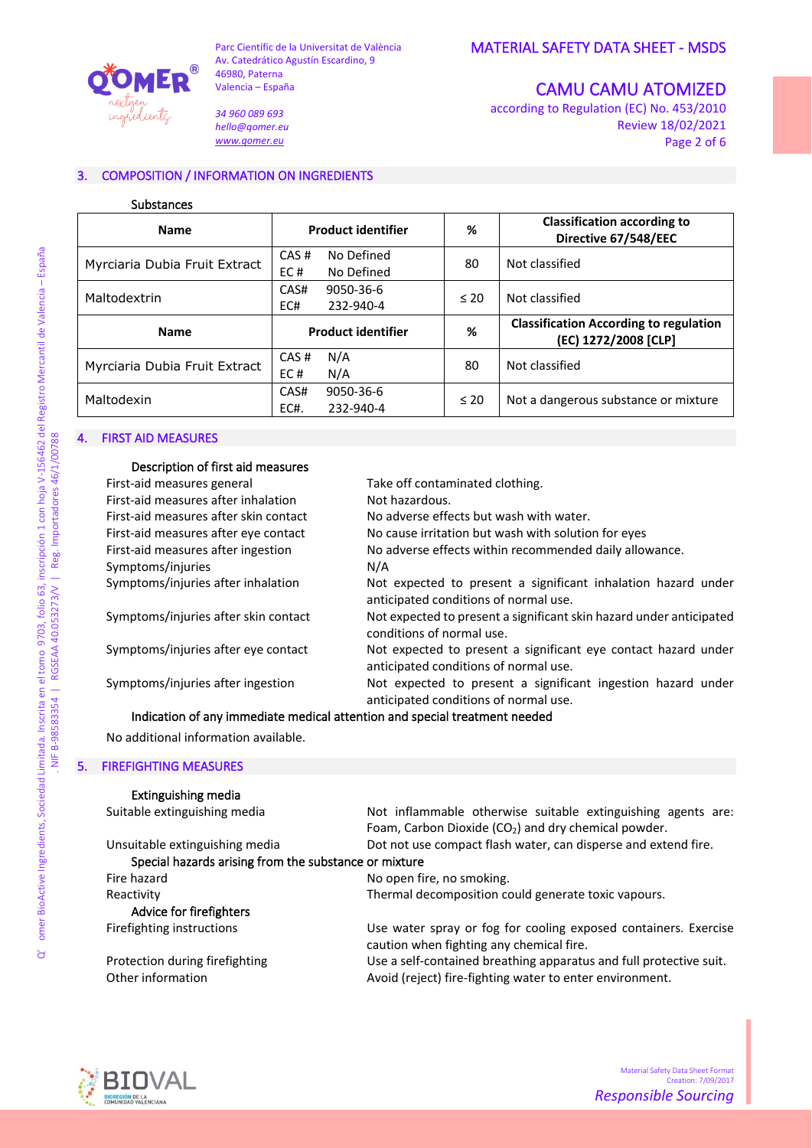

*34 960 089 693 hello@qomer.eu [www.qomer.eu](http://www.qomer.eu/)*

CAMU CAMU ATOMIZED

according to Regulation (EC) No. 453/2010 Review 18/02/2021 Page 2 of 6

## 3. COMPOSITION / INFORMATION ON INGREDIENTS

#### Substances

| <b>Name</b>                   | <b>Product identifier</b>               | %         | <b>Classification according to</b><br>Directive 67/548/EEC            |
|-------------------------------|-----------------------------------------|-----------|-----------------------------------------------------------------------|
| Myrciaria Dubia Fruit Extract | No Defined<br>CAS#<br>EC#<br>No Defined | 80        | Not classified                                                        |
| Maltodextrin                  | CAS#<br>9050-36-6<br>232-940-4<br>EC#   | $\leq 20$ | Not classified                                                        |
| <b>Name</b>                   | <b>Product identifier</b>               | %         | <b>Classification According to regulation</b><br>(EC) 1272/2008 [CLP] |
| Myrciaria Dubia Fruit Extract | N/A<br>CAS#<br>EC#<br>N/A               | 80        | Not classified                                                        |
| Maltodexin                    | CAS#<br>9050-36-6<br>EC#.<br>232-940-4  | $\leq 20$ | Not a dangerous substance or mixture                                  |

## 4. FIRST AID MEASURES

| Description of first aid measures     |                                                                                                         |
|---------------------------------------|---------------------------------------------------------------------------------------------------------|
| First-aid measures general            | Take off contaminated clothing.                                                                         |
| First-aid measures after inhalation   | Not hazardous.                                                                                          |
| First-aid measures after skin contact | No adverse effects but wash with water.                                                                 |
| First-aid measures after eye contact  | No cause irritation but wash with solution for eyes                                                     |
| First-aid measures after ingestion    | No adverse effects within recommended daily allowance.                                                  |
| Symptoms/injuries                     | N/A                                                                                                     |
| Symptoms/injuries after inhalation    | Not expected to present a significant inhalation hazard under<br>anticipated conditions of normal use.  |
| Symptoms/injuries after skin contact  | Not expected to present a significant skin hazard under anticipated<br>conditions of normal use.        |
| Symptoms/injuries after eye contact   | Not expected to present a significant eye contact hazard under<br>anticipated conditions of normal use. |
| Symptoms/injuries after ingestion     | Not expected to present a significant ingestion hazard under<br>anticipated conditions of normal use.   |

## Indication of any immediate medical attention and special treatment needed

No additional information available.

#### 5. FIREFIGHTING MEASURES

# Extinguishing media

| Not inflammable otherwise suitable extinguishing agents are:       |
|--------------------------------------------------------------------|
| Foam, Carbon Dioxide (CO <sub>2</sub> ) and dry chemical powder.   |
| Dot not use compact flash water, can disperse and extend fire.     |
| Special hazards arising from the substance or mixture              |
| No open fire, no smoking.                                          |
| Thermal decomposition could generate toxic vapours.                |
|                                                                    |
| Use water spray or fog for cooling exposed containers. Exercise    |
| caution when fighting any chemical fire.                           |
| Use a self-contained breathing apparatus and full protective suit. |
| Avoid (reject) fire-fighting water to enter environment.           |
|                                                                    |



NIF B-98583354 | RGSEAA 40.053273/V | Reg. Importadores 46/1/00788 NIF B-98583354 | RGSEAA 40.053273/V | Reg. Importadores 46/1/00788

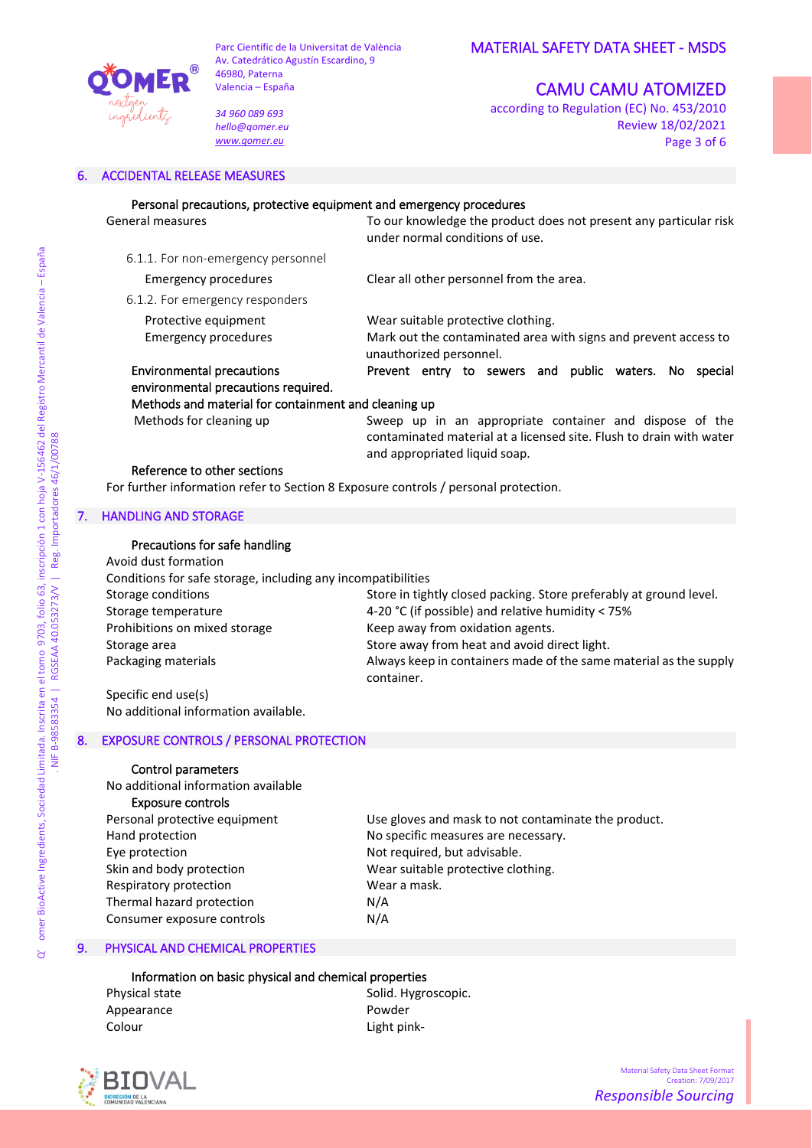

*34 960 089 693 hello@qomer.eu [www.qomer.eu](http://www.qomer.eu/)*

# MATERIAL SAFETY DATA SHEET - MSDS

# CAMU CAMU ATOMIZED

according to Regulation (EC) No. 453/2010 Review 18/02/2021 Page 3 of 6

#### 6. ACCIDENTAL RELEASE MEASURES

| Personal precautions, protective equipment and emergency procedures                 |                                                                                                                                                                 |
|-------------------------------------------------------------------------------------|-----------------------------------------------------------------------------------------------------------------------------------------------------------------|
| General measures                                                                    | To our knowledge the product does not present any particular risk<br>under normal conditions of use.                                                            |
| 6.1.1. For non-emergency personnel                                                  |                                                                                                                                                                 |
| <b>Emergency procedures</b>                                                         | Clear all other personnel from the area.                                                                                                                        |
| 6.1.2. For emergency responders                                                     |                                                                                                                                                                 |
| Protective equipment<br><b>Emergency procedures</b>                                 | Wear suitable protective clothing.<br>Mark out the contaminated area with signs and prevent access to<br>unauthorized personnel.                                |
| <b>Environmental precautions</b><br>environmental precautions required.             | Prevent entry to sewers and public waters.<br>No l<br>special                                                                                                   |
| Methods and material for containment and cleaning up                                |                                                                                                                                                                 |
| Methods for cleaning up                                                             | Sweep up in an appropriate container and dispose of the<br>contaminated material at a licensed site. Flush to drain with water<br>and appropriated liquid soap. |
| Reference to other sections                                                         |                                                                                                                                                                 |
| For further information refer to Section 8 Exposure controls / personal protection. |                                                                                                                                                                 |

#### 7. HANDLING AND STORAGE

## Precautions for safe handling

| Avoid dust formation                                         |                                                                    |
|--------------------------------------------------------------|--------------------------------------------------------------------|
| Conditions for safe storage, including any incompatibilities |                                                                    |
| Storage conditions                                           | Store in tightly closed packing. Store preferably at ground level. |
| Storage temperature                                          | 4-20 °C (if possible) and relative humidity < 75%                  |
| Prohibitions on mixed storage                                | Keep away from oxidation agents.                                   |
| Storage area                                                 | Store away from heat and avoid direct light.                       |
| Packaging materials                                          | Always keep in containers made of the same material as the supply  |
|                                                              | container.                                                         |

Specific end use(s) No additional information available.

## 8. EXPOSURE CONTROLS / PERSONAL PROTECTION

## Control parameters

No additional information available Exposure controls Eye protection Not required, but advisable. Skin and body protection Wear suitable protective clothing. Respiratory protection Wear a mask. Thermal hazard protection N/A Consumer exposure controls The N/A

Personal protective equipment Use gloves and mask to not contaminate the product. Hand protection **No specific measures are necessary**.

## 9. PHYSICAL AND CHEMICAL PROPERTIES

#### Information on basic physical and chemical properties

Appearance Powder Colour Light pink-

Physical state Solid. Hygroscopic.



 $\mathcal{A}$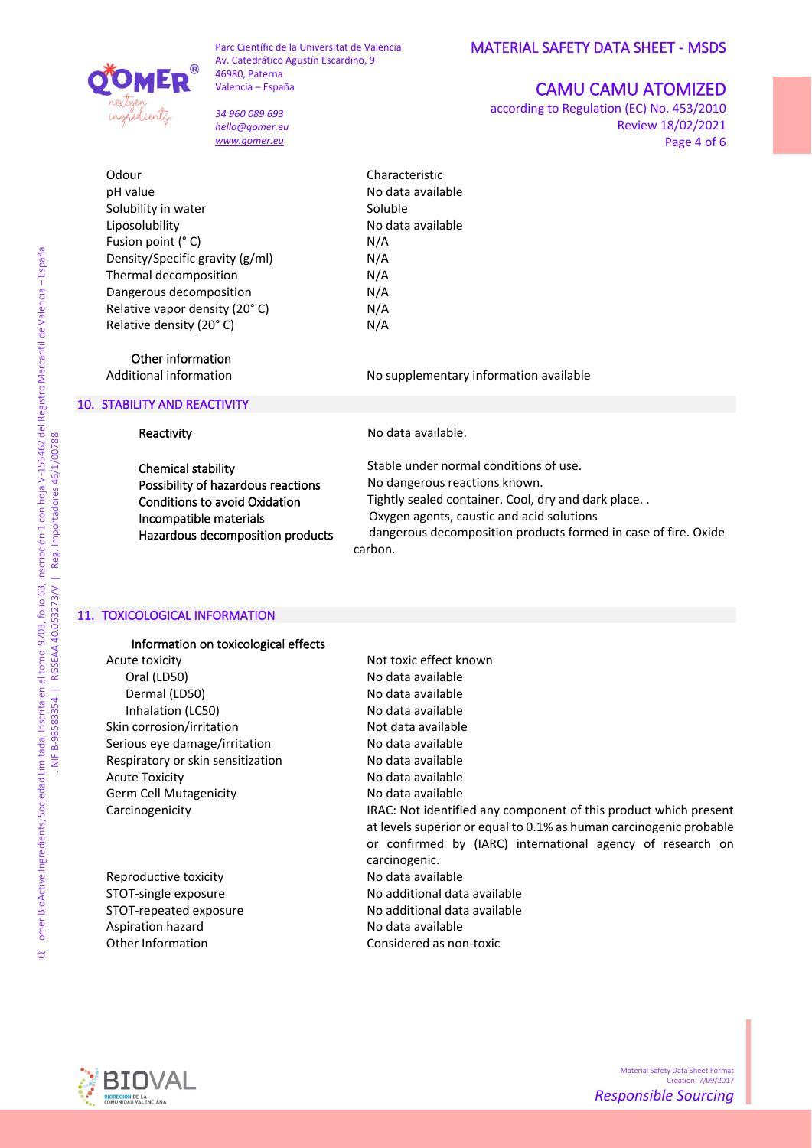

*34 960 089 693 hello@qomer.eu [www.qomer.eu](http://www.qomer.eu/)*

# CAMU CAMU ATOMIZED

according to Regulation (EC) No. 453/2010 Review 18/02/2021 Page 4 of 6

Odour Characteristic pH value and the number of the No data available Solubility in water Soluble Liposolubility **No data available** No data available Fusion point (° C) N/A Density/Specific gravity (g/ml) N/A Thermal decomposition N/A Dangerous decomposition N/A Relative vapor density (20°C) N/A Relative density  $(20^{\circ} C)$  N/A

Additional information No supplementary information available

Other information

#### 10. STABILITY AND REACTIVITY

ingeredientz

Reactivity

Chemical stability Possibility of hazardous reactions Conditions to avoid Oxidation Incompatible materials Hazardous decomposition products No data available.

Stable under normal conditions of use. No dangerous reactions known. Tightly sealed container. Cool, dry and dark place. . Oxygen agents, caustic and acid solutions dangerous decomposition products formed in case of fire. Oxide carbon.

#### 11. TOXICOLOGICAL INFORMATION

Information on toxicological effects Acute toxicity Not toxic effect known Oral (LD50) No data available Dermal (LD50) No data available Inhalation (LC50) No data available Skin corrosion/irritation Not data available Serious eye damage/irritation No data available Respiratory or skin sensitization No data available Acute Toxicity **No. 2018** No data available Germ Cell Mutagenicity **No data available** 

Reproductive toxicity No data available Aspiration hazard **No data available** 

Carcinogenicity IRAC: Not identified any component of this product which present at levels superior or equal to 0.1% as human carcinogenic probable or confirmed by (IARC) international agency of research on carcinogenic. STOT-single exposure No additional data available STOT-repeated exposure No additional data available Other Information Considered as non-toxic

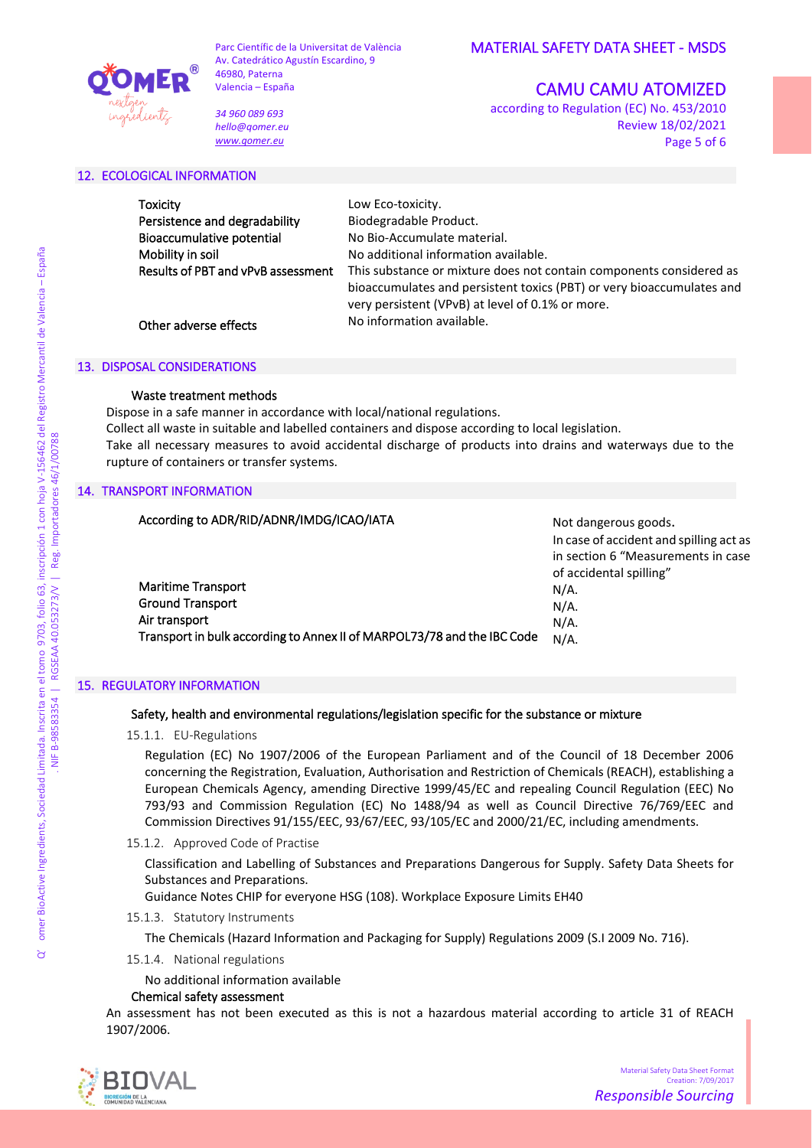

*34 960 089 693 hello@qomer.eu [www.qomer.eu](http://www.qomer.eu/)*

# CAMU CAMU ATOMIZED

according to Regulation (EC) No. 453/2010 Review 18/02/2021 Page 5 of 6

## 12. ECOLOGICAL INFORMATION

| Toxicity                           | Low Eco-toxicity.                                                                                                                                                                                |
|------------------------------------|--------------------------------------------------------------------------------------------------------------------------------------------------------------------------------------------------|
| Persistence and degradability      | Biodegradable Product.                                                                                                                                                                           |
| Bioaccumulative potential          | No Bio-Accumulate material.                                                                                                                                                                      |
| Mobility in soil                   | No additional information available.                                                                                                                                                             |
| Results of PBT and vPvB assessment | This substance or mixture does not contain components considered as<br>bioaccumulates and persistent toxics (PBT) or very bioaccumulates and<br>very persistent (VPvB) at level of 0.1% or more. |
| Other adverse effects              | No information available.                                                                                                                                                                        |

#### 13. DISPOSAL CONSIDERATIONS

## Waste treatment methods

Dispose in a safe manner in accordance with local/national regulations. Collect all waste in suitable and labelled containers and dispose according to local legislation. Take all necessary measures to avoid accidental discharge of products into drains and waterways due to the rupture of containers or transfer systems.

## 14. TRANSPORT INFORMATION

# According to ADR/RID/ADNR/IMDG/ICAO/IATA Maritime Transport Ground Transport N/A. N/A.

Transport in bulk according to Annex II of MARPOL73/78 and the IBC Code

Not dangerous goods. In case of accident and spilling act as in section 6 "Measurements in case of accidental spilling" N/A. N/A.

## 15. REGULATORY INFORMATION

Air transport

## Safety, health and environmental regulations/legislation specific for the substance or mixture

15.1.1. EU-Regulations

Regulation (EC) No 1907/2006 of the European Parliament and of the Council of 18 December 2006 concerning the Registration, Evaluation, Authorisation and Restriction of Chemicals (REACH), establishing a European Chemicals Agency, amending Directive 1999/45/EC and repealing Council Regulation (EEC) No 793/93 and Commission Regulation (EC) No 1488/94 as well as Council Directive 76/769/EEC and Commission Directives 91/155/EEC, 93/67/EEC, 93/105/EC and 2000/21/EC, including amendments.

## 15.1.2. Approved Code of Practise

Classification and Labelling of Substances and Preparations Dangerous for Supply. Safety Data Sheets for Substances and Preparations.

Guidance Notes CHIP for everyone HSG (108). Workplace Exposure Limits EH40

15.1.3. Statutory Instruments

The Chemicals (Hazard Information and Packaging for Supply) Regulations 2009 (S.I 2009 No. 716).

15.1.4. National regulations

No additional information available

## Chemical safety assessment

An assessment has not been executed as this is not a hazardous material according to article 31 of REACH 1907/2006.